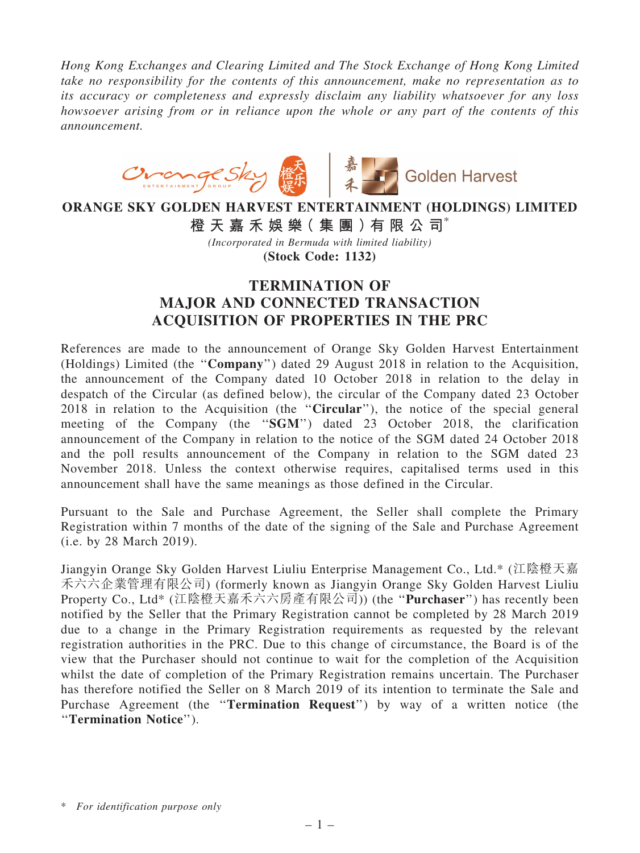*Hong Kong Exchanges and Clearing Limited and The Stock Exchange of Hong Kong Limited take no responsibility for the contents of this announcement, make no representation as to its accuracy or completeness and expressly disclaim any liability whatsoever for any loss howsoever arising from or in reliance upon the whole or any part of the contents of this announcement.*



## ORANGE SKY GOLDEN HARVEST ENTERTAINMENT (HOLDINGS) LIMITED 橙 天 嘉 禾 娛 樂( 集 團 )有 限 公 司\*

*(Incorporated in Bermuda with limited liability)*

(Stock Code: 1132)

## TERMINATION OF

## MAJOR AND CONNECTED TRANSACTION ACQUISITION OF PROPERTIES IN THE PRC

References are made to the announcement of Orange Sky Golden Harvest Entertainment (Holdings) Limited (the ''Company'') dated 29 August 2018 in relation to the Acquisition, the announcement of the Company dated 10 October 2018 in relation to the delay in despatch of the Circular (as defined below), the circular of the Company dated 23 October 2018 in relation to the Acquisition (the ''Circular''), the notice of the special general meeting of the Company (the ''SGM'') dated 23 October 2018, the clarification announcement of the Company in relation to the notice of the SGM dated 24 October 2018 and the poll results announcement of the Company in relation to the SGM dated 23 November 2018. Unless the context otherwise requires, capitalised terms used in this announcement shall have the same meanings as those defined in the Circular.

Pursuant to the Sale and Purchase Agreement, the Seller shall complete the Primary Registration within 7 months of the date of the signing of the Sale and Purchase Agreement (i.e. by 28 March 2019).

Jiangyin Orange Sky Golden Harvest Liuliu Enterprise Management Co., Ltd.\* (江陰橙天嘉 禾六六企業管理有限公司) (formerly known as Jiangyin Orange Sky Golden Harvest Liuliu Property Co., Ltd\* (江陰橙天嘉禾六六房產有限公司)) (the "Purchaser") has recently been notified by the Seller that the Primary Registration cannot be completed by 28 March 2019 due to a change in the Primary Registration requirements as requested by the relevant registration authorities in the PRC. Due to this change of circumstance, the Board is of the view that the Purchaser should not continue to wait for the completion of the Acquisition whilst the date of completion of the Primary Registration remains uncertain. The Purchaser has therefore notified the Seller on 8 March 2019 of its intention to terminate the Sale and Purchase Agreement (the "Termination Request") by way of a written notice (the ''Termination Notice'').

<sup>\*</sup> *For identification purpose only*